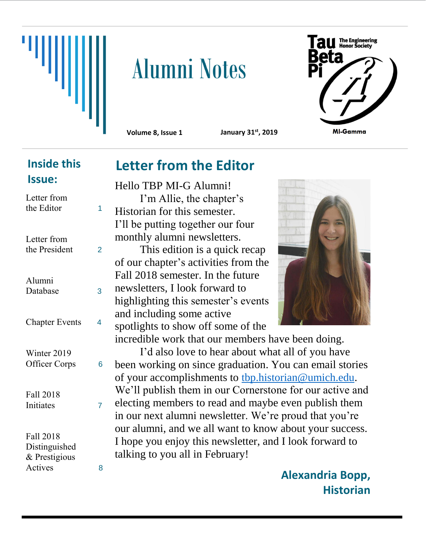

# **Alumni Notes**



**Volume 8, Issue 1 January 31st, 2019**

### **Inside this Issue:**

| Letter from<br>the Editor                              | 1 |
|--------------------------------------------------------|---|
| Letter from<br>the President                           | 2 |
| Alumni<br>Database                                     | 3 |
| <b>Chapter Events</b>                                  | 4 |
| Winter 2019<br><b>Officer Corps</b>                    | 6 |
| Fall 2018<br>Initiates                                 | 7 |
| Fall 2018<br>Distinguished<br>& Prestigious<br>Actives | 8 |

# **Letter from the Editor**

Hello TBP MI-G Alumni! I'm Allie, the chapter's Historian for this semester. I'll be putting together our four monthly alumni newsletters.

This edition is a quick recap of our chapter's activities from the Fall 2018 semester. In the future newsletters, I look forward to highlighting this semester's events and including some active spotlights to show off some of the

incredible work that our members have been doing.

I'd also love to hear about what all of you have been working on since graduation. You can email stories of your accomplishments to [tbp.historian@umich.edu.](mailto:tbp.historian@umich.edu) We'll publish them in our Cornerstone for our active and electing members to read and maybe even publish them in our next alumni newsletter. We're proud that you're our alumni, and we all want to know about your success. I hope you enjoy this newsletter, and I look forward to talking to you all in February!

> **Alexandria Bopp, Historian**

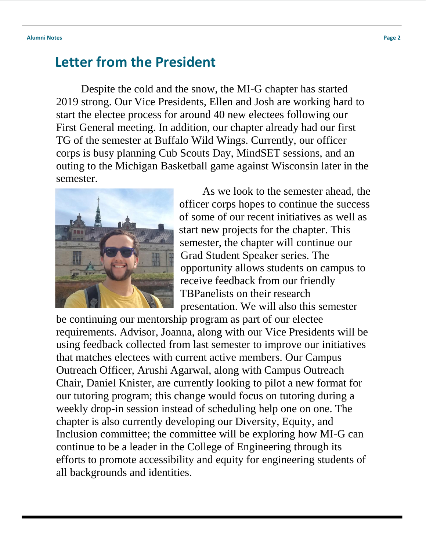# **Letter from the President**

Despite the cold and the snow, the MI-G chapter has started 2019 strong. Our Vice Presidents, Ellen and Josh are working hard to start the electee process for around 40 new electees following our First General meeting. In addition, our chapter already had our first TG of the semester at Buffalo Wild Wings. Currently, our officer corps is busy planning Cub Scouts Day, MindSET sessions, and an outing to the Michigan Basketball game against Wisconsin later in the semester.



As we look to the semester ahead, the officer corps hopes to continue the success of some of our recent initiatives as well as start new projects for the chapter. This semester, the chapter will continue our Grad Student Speaker series. The opportunity allows students on campus to receive feedback from our friendly TBPanelists on their research presentation. We will also this semester

be continuing our mentorship program as part of our electee requirements. Advisor, Joanna, along with our Vice Presidents will be using feedback collected from last semester to improve our initiatives that matches electees with current active members. Our Campus Outreach Officer, Arushi Agarwal, along with Campus Outreach Chair, Daniel Knister, are currently looking to pilot a new format for our tutoring program; this change would focus on tutoring during a weekly drop-in session instead of scheduling help one on one. The chapter is also currently developing our Diversity, Equity, and Inclusion committee; the committee will be exploring how MI-G can continue to be a leader in the College of Engineering through its efforts to promote accessibility and equity for engineering students of all backgrounds and identities.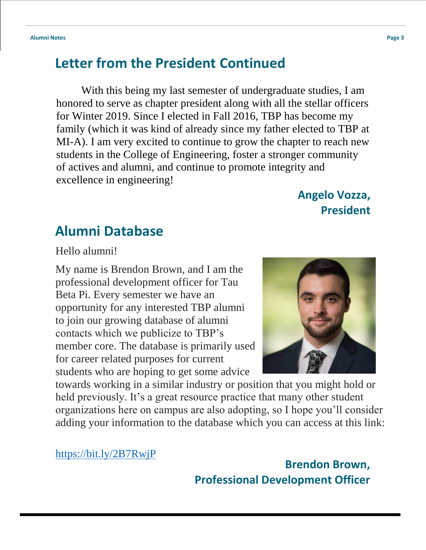# **Letter from the President Continued**

With this being my last semester of undergraduate studies, I am honored to serve as chapter president along with all the stellar officers for Winter 2019. Since I elected in Fall 2016, TBP has become my family (which it was kind of already since my father elected to TBP at MI-A). I am very excited to continue to grow the chapter to reach new students in the College of Engineering, foster a stronger community of actives and alumni, and continue to promote integrity and excellence in engineering!

# **Angelo Vozza, President**

# **Alumni Database**

Hello alumni!

My name is Brendon Brown, and I am the professional development officer for Tau Beta Pi. Every semester we have an opportunity for any interested TBP alumni to join our growing database of alumni contacts which we publicize to TBP's member core. The database is primarily used for career related purposes for current students who are hoping to get some advice



towards working in a similar industry or position that you might hold or held previously. It's a great resource practice that many other student organizations here on campus are also adopting, so I hope you'll consider adding your information to the database which you can access at this link:

<https://bit.ly/2B7RwjP>

**Brendon Brown, Professional Development Officer**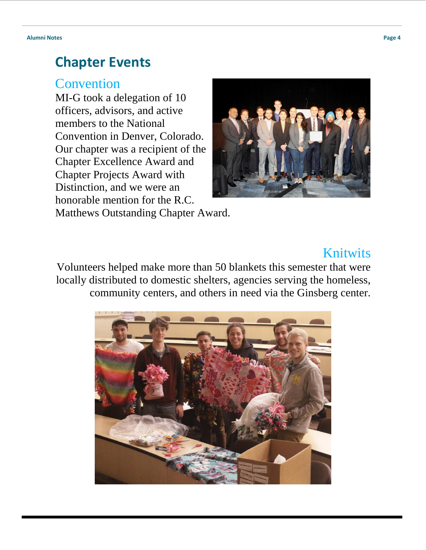## **Chapter Events**

#### Convention

MI-G took a delegation of 10 officers, advisors, and active members to the National Convention in Denver, Colorado. Our chapter was a recipient of the Chapter Excellence Award and Chapter Projects Award with Distinction, and we were an honorable mention for the R.C.



Matthews Outstanding Chapter Award.

# Knitwits

Volunteers helped make more than 50 blankets this semester that were locally distributed to domestic shelters, agencies serving the homeless, community centers, and others in need via the Ginsberg center.

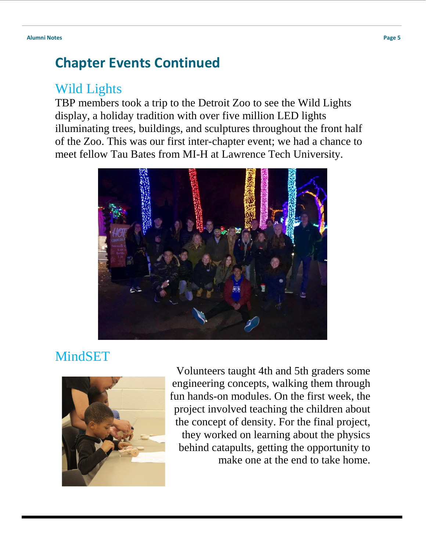# **Chapter Events Continued**

# Wild Lights

TBP members took a trip to the Detroit Zoo to see the Wild Lights display, a holiday tradition with over five million LED lights illuminating trees, buildings, and sculptures throughout the front half of the Zoo. This was our first inter-chapter event; we had a chance to meet fellow Tau Bates from MI-H at Lawrence Tech University.



# MindSET



Volunteers taught 4th and 5th graders some engineering concepts, walking them through fun hands-on modules. On the first week, the project involved teaching the children about the concept of density. For the final project, they worked on learning about the physics behind catapults, getting the opportunity to make one at the end to take home.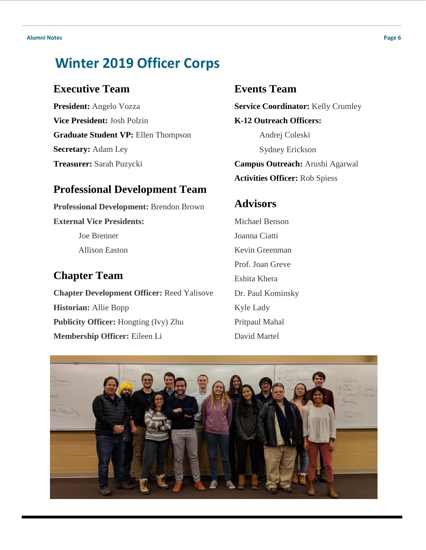# **Winter 2019 Officer Corps**

#### **Executive Team**

**President:** Angelo Vozza **Vice President:** Josh Polzin **Graduate Student VP:** Ellen Thompson **Secretary:** Adam Ley **Treasurer:** Sarah Puzycki

#### **Professional Development Team**

**Professional Development:** Brendon Brown **External Vice Presidents:**  Joe Brenner Allison Easton

#### **Chapter Team**

**Chapter Development Officer:** Reed Yalisove **Historian:** Allie Bopp **Publicity Officer:** Hongting (Ivy) Zhu **Membership Officer:** Eileen Li

#### **Events Team**

**Service Coordinator:** Kelly Crumley **K-12 Outreach Officers:**  Andrej Coleski Sydney Erickson

**Campus Outreach:** Arushi Agarwal **Activities Officer:** Rob Spiess

#### **Advisors**

Michael Benson Joanna Ciatti Kevin Greenman Prof. Joan Greve Eshita Khera Dr. Paul Kominsky Kyle Lady Pritpaul Mahal David Martel

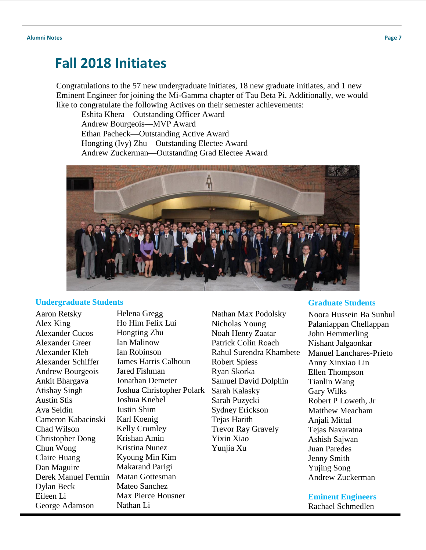### **Fall 2018 Initiates**

Congratulations to the 57 new undergraduate initiates, 18 new graduate initiates, and 1 new Eminent Engineer for joining the Mi-Gamma chapter of Tau Beta Pi. Additionally, we would like to congratulate the following Actives on their semester achievements:

Eshita Khera—Outstanding Officer Award Andrew Bourgeois—MVP Award Ethan Pacheck—Outstanding Active Award Hongting (Ivy) Zhu—Outstanding Electee Award Andrew Zuckerman—Outstanding Grad Electee Award



#### **Undergraduate Students**

Aaron Retsky Alex King Alexander Cucos Alexander Greer Alexander Kleb Alexander Schiffer Andrew Bourgeois Ankit Bhargava Atishay Singh Austin Stis Ava Seldin Cameron Kabacinski Chad Wilson Christopher Dong Chun Wong Claire Huang Dan Maguire Derek Manuel Fermin Dylan Beck Eileen Li George Adamson

Helena Gregg Ho Him Felix Lui Hongting Zhu Ian Malinow Ian Robinson James Harris Calhoun Jared Fishman Jonathan Demeter Joshua Christopher Polark Joshua Knebel Justin Shim Karl Koenig Kelly Crumley Krishan Amin Kristina Nunez Kyoung Min Kim Makarand Parigi Matan Gottesman Mateo Sanchez Max Pierce Housner

Nathan Li

Nathan Max Podolsky Nicholas Young Noah Henry Zaatar Patrick Colin Roach Rahul Surendra Khambete Robert Spiess Ryan Skorka Samuel David Dolphin Sarah Kalasky Sarah Puzycki Sydney Erickson Tejas Harith Trevor Ray Gravely Yixin Xiao Yunjia Xu

#### **Graduate Students**

Noora Hussein Ba Sunbul Palaniappan Chellappan John Hemmerling Nishant Jalgaonkar Manuel Lanchares-Prieto Anny Xinxiao Lin Ellen Thompson Tianlin Wang Gary Wilks Robert P Loweth, Jr Matthew Meacham Anjali Mittal Tejas Navaratna Ashish Sajwan Juan Paredes Jenny Smith Yujing Song Andrew Zuckerman

**Eminent Engineers** Rachael Schmedlen